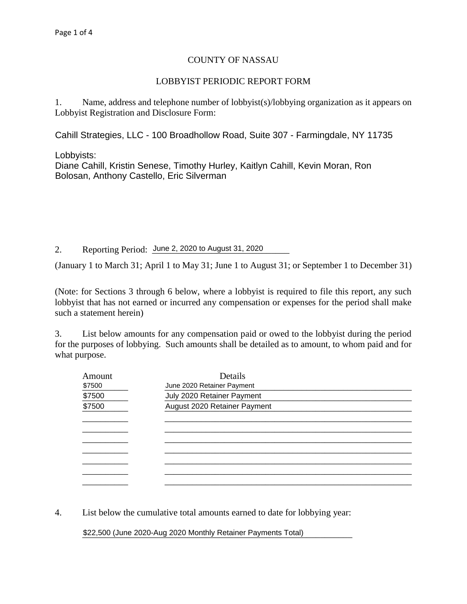## COUNTY OF NASSAU

## LOBBYIST PERIODIC REPORT FORM

1. Name, address and telephone number of lobbyist(s)/lobbying organization as it appears on Lobbyist Registration and Disclosure Form:

Cahill Strategies, LLC - 100 Broadhollow Road, Suite 307 - Farmingdale, NY 11735

 $\textsf{\textup{L}obbyists:}\quad$ 

Bolosan, Anthony Castello, Eric Silverman Diane Cahill, Kristin Senese, Timothy Hurley, Kaitlyn Cahill, Kevin Moran, Ron

2. Reporting Period: June 2, 2020 to August 31, 2020

(January 1 to March 31; April 1 to May 31; June 1 to August 31; or September 1 to December 31)

(Note: for Sections 3 through 6 below, where a lobbyist is required to file this report, any such lobbyist that has not earned or incurred any compensation or expenses for the period shall make such a statement herein)

3. List below amounts for any compensation paid or owed to the lobbyist during the period for the purposes of lobbying. Such amounts shall be detailed as to amount, to whom paid and for what purpose.

| Amount<br>\$7500 | Details<br>June 2020 Retainer Payment |  |  |  |  |  |
|------------------|---------------------------------------|--|--|--|--|--|
| \$7500           | July 2020 Retainer Payment            |  |  |  |  |  |
| \$7500           | August 2020 Retainer Payment          |  |  |  |  |  |
|                  |                                       |  |  |  |  |  |
|                  |                                       |  |  |  |  |  |
|                  |                                       |  |  |  |  |  |
|                  |                                       |  |  |  |  |  |
|                  |                                       |  |  |  |  |  |
|                  |                                       |  |  |  |  |  |
|                  |                                       |  |  |  |  |  |

4. List below the cumulative total amounts earned to date for lobbying year:

\_\_\_\_\_\_\_\_\_\_\_\_\_\_\_\_\_\_\_\_\_\_\_\_\_\_\_\_\_\_\_\_\_\_\_\_\_\_\_\_\_\_\_\_\_\_\_\_\_\_\_\_\_\_\_\_\_\_\_ \$22,500 (June 2020-Aug 2020 Monthly Retainer Payments Total)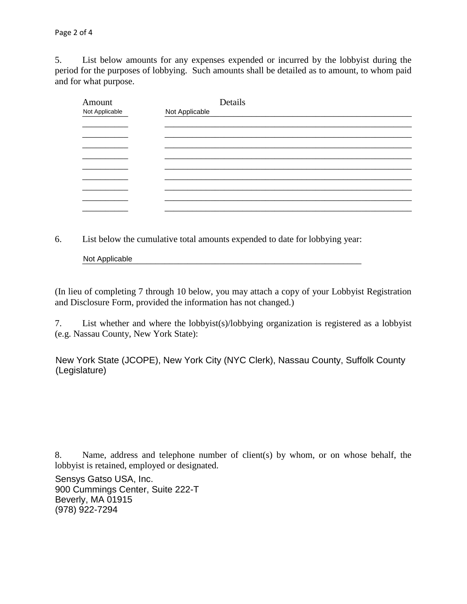5. List below amounts for any expenses expended or incurred by the lobbyist during the period for the purposes of lobbying. Such amounts shall be detailed as to amount, to whom paid and for what purpose.

| Amount<br>Not Applicable | Details<br>Not Applicable |
|--------------------------|---------------------------|
|                          |                           |
|                          |                           |
|                          |                           |
|                          |                           |
|                          |                           |
|                          |                           |
|                          |                           |
|                          |                           |
|                          |                           |

6. List below the cumulative total amounts expended to date for lobbying year:

Not Applicable **Not Applicable** 

(In lieu of completing 7 through 10 below, you may attach a copy of your Lobbyist Registration and Disclosure Form, provided the information has not changed.)

7. List whether and where the lobbyist(s)/lobbying organization is registered as a lobbyist (e.g. Nassau County, New York State):

New York State (JCOPE), New York City (NYC Clerk), Nassau County, Suffolk County (Legislature)

8. Name, address and telephone number of client(s) by whom, or on whose behalf, the lobbyist is retained, employed or designated.

\_\_\_\_\_\_\_\_\_\_\_\_\_\_\_\_\_\_\_\_\_\_\_\_\_\_\_\_\_\_\_\_\_\_\_\_\_\_\_\_\_\_\_\_\_\_\_\_\_\_\_\_\_\_\_\_\_\_\_\_\_\_\_\_\_\_\_\_\_\_\_\_\_\_\_\_\_\_ 900 Cummings Center, Suite 222-T \_\_\_\_\_\_\_\_\_\_\_\_\_\_\_\_\_\_\_\_\_\_\_\_\_\_\_\_\_\_\_\_\_\_\_\_\_\_\_\_\_\_\_\_\_\_\_\_\_\_\_\_\_\_\_\_\_\_\_\_\_\_\_\_\_\_\_\_\_\_\_\_\_\_\_\_\_\_ (978) 922-7294Sensys Gatso USA, Inc. Beverly, MA 01915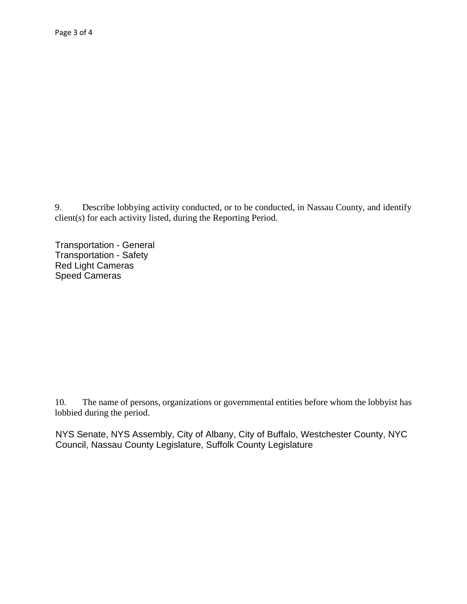Describe lobbying activity conducted, or to be conducted, in Nassau County, and identify 9.  $client(s)$  for each activity listed, during the Reporting Period.

**Transportation - General** Transportation - Safety Red Light Cameras Speed Cameras

The name of persons, organizations or governmental entities before whom the lobbyist has 10. lobbied during the period.

NYS Senate, NYS Assembly, City of Albany, City of Buffalo, Westchester County, NYC Council, Nassau County Legislature, Suffolk County Legislature